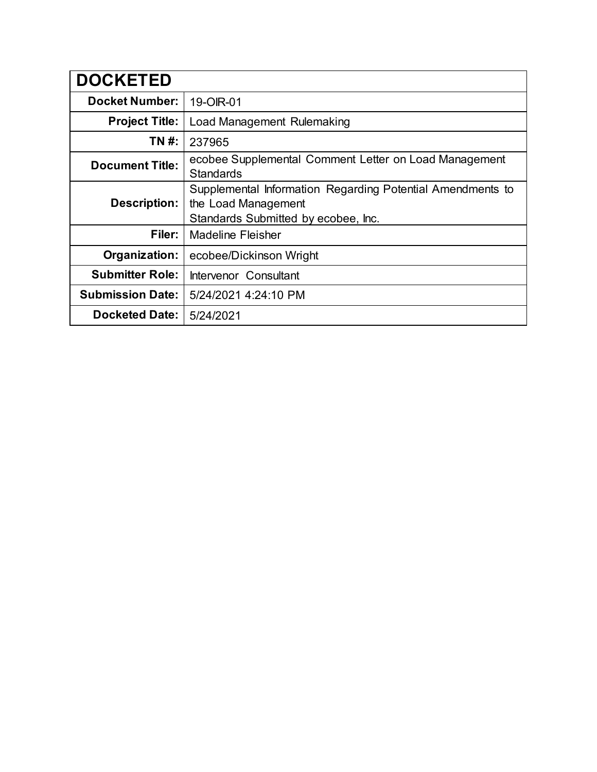| <b>DOCKETED</b>         |                                                                                                                          |
|-------------------------|--------------------------------------------------------------------------------------------------------------------------|
| <b>Docket Number:</b>   | 19-OIR-01                                                                                                                |
| <b>Project Title:</b>   | Load Management Rulemaking                                                                                               |
| TN #:                   | 237965                                                                                                                   |
| <b>Document Title:</b>  | ecobee Supplemental Comment Letter on Load Management<br><b>Standards</b>                                                |
| <b>Description:</b>     | Supplemental Information Regarding Potential Amendments to<br>the Load Management<br>Standards Submitted by ecobee, Inc. |
| Filer:                  | <b>Madeline Fleisher</b>                                                                                                 |
| Organization:           | ecobee/Dickinson Wright                                                                                                  |
| <b>Submitter Role:</b>  | Intervenor Consultant                                                                                                    |
| <b>Submission Date:</b> | 5/24/2021 4:24:10 PM                                                                                                     |
| <b>Docketed Date:</b>   | 5/24/2021                                                                                                                |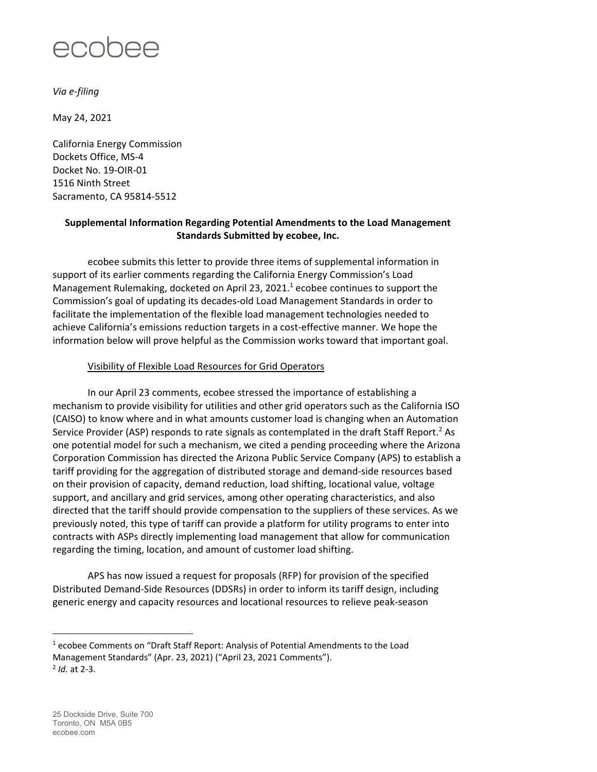## $\overline{1}$

### *Via e-filing*

May 24, 2021

California Energy Commission Dockets Office, MS-4 Docket No. 19-OIR-01 1516 Ninth Street Sacramento, CA 95814-5512

### **Supplemental Information Regarding Potential Amendments to the Load Management Standards Submitted by ecobee, Inc.**

ecobee submits this letter to provide three items of supplemental information in support of its earlier comments regarding the California Energy Commission's Load Management Rulemaking, docketed on April 23, 2021. $<sup>1</sup>$  ecobee continues to support the</sup> Commission's goal of updating its decades-old Load Management Standards in order to facilitate the implementation of the flexible load management technologies needed to achieve California's emissions reduction targets in a cost-effective manner. We hope the information below will prove helpful as the Commission works toward that important goal.

### Visibility of Flexible Load Resources for Grid Operators

In our April 23 comments, ecobee stressed the importance of establishing a mechanism to provide visibility for utilities and other grid operators such as the California ISO (CAISO) to know where and in what amounts customer load is changing when an Automation Service Provider (ASP) responds to rate signals as contemplated in the draft Staff Report.<sup>2</sup> As one potential model for such a mechanism, we cited a pending proceeding where the Arizona Corporation Commission has directed the Arizona Public Service Company (APS) to establish a tariff providing for the aggregation of distributed storage and demand-side resources based on their provision of capacity, demand reduction, load shifting, locational value, voltage support, and ancillary and grid services, among other operating characteristics, and also directed that the tariff should provide compensation to the suppliers of these services. As we previously noted, this type of tariff can provide a platform for utility programs to enter into contracts with ASPs directly implementing load management that allow for communication regarding the timing, location, and amount of customer load shifting.

APS has now issued a request for proposals (RFP) for provision of the specified Distributed Demand-Side Resources (DDSRs) in order to inform its tariff design, including generic energy and capacity resources and locational resources to relieve peak-season

<sup>&</sup>lt;sup>1</sup> ecobee Comments on "Draft Staff Report: Analysis of Potential Amendments to the Load Management Standards" (Apr. 23, 2021) ("April 23, 2021 Comments"). 2 *Id.* at 2-3.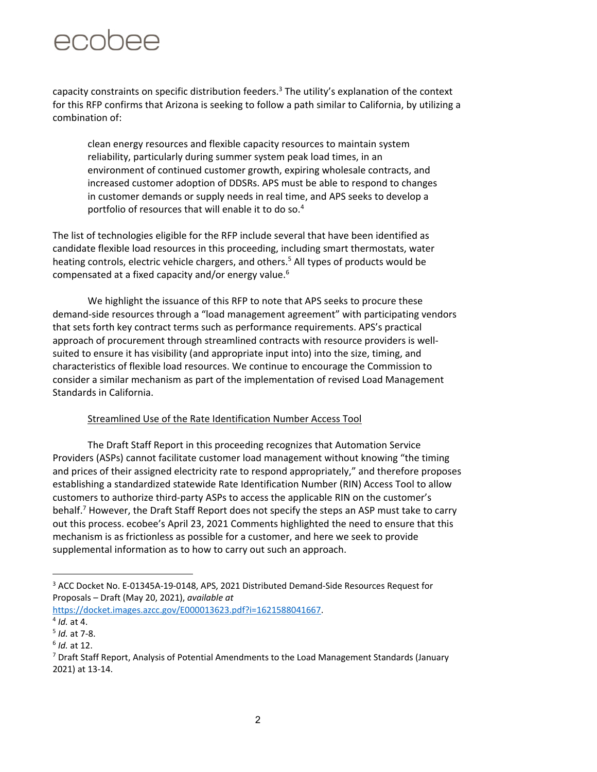capacity constraints on specific distribution feeders.<sup>3</sup> The utility's explanation of the context for this RFP confirms that Arizona is seeking to follow a path similar to California, by utilizing a combination of:

clean energy resources and flexible capacity resources to maintain system reliability, particularly during summer system peak load times, in an environment of continued customer growth, expiring wholesale contracts, and increased customer adoption of DDSRs. APS must be able to respond to changes in customer demands or supply needs in real time, and APS seeks to develop a portfolio of resources that will enable it to do so.<sup>4</sup>

The list of technologies eligible for the RFP include several that have been identified as candidate flexible load resources in this proceeding, including smart thermostats, water heating controls, electric vehicle chargers, and others.<sup>5</sup> All types of products would be compensated at a fixed capacity and/or energy value.<sup>6</sup>

We highlight the issuance of this RFP to note that APS seeks to procure these demand-side resources through a "load management agreement" with participating vendors that sets forth key contract terms such as performance requirements. APS's practical approach of procurement through streamlined contracts with resource providers is wellsuited to ensure it has visibility (and appropriate input into) into the size, timing, and characteristics of flexible load resources. We continue to encourage the Commission to consider a similar mechanism as part of the implementation of revised Load Management Standards in California.

#### Streamlined Use of the Rate Identification Number Access Tool

The Draft Staff Report in this proceeding recognizes that Automation Service Providers (ASPs) cannot facilitate customer load management without knowing "the timing and prices of their assigned electricity rate to respond appropriately," and therefore proposes establishing a standardized statewide Rate Identification Number (RIN) Access Tool to allow customers to authorize third-party ASPs to access the applicable RIN on the customer's behalf.<sup>7</sup> However, the Draft Staff Report does not specify the steps an ASP must take to carry out this process. ecobee's April 23, 2021 Comments highlighted the need to ensure that this mechanism is as frictionless as possible for a customer, and here we seek to provide supplemental information as to how to carry out such an approach.

<sup>&</sup>lt;sup>3</sup> ACC Docket No. E-01345A-19-0148, APS, 2021 Distributed Demand-Side Resources Request for Proposals – Draft (May 20, 2021), *available at* 

https://docket.images.azcc.gov/E000013623.pdf?i=1621588041667.

<sup>&</sup>lt;sup>4</sup> *Id.* at 4.<br><sup>5</sup> *Id.* at 7-8.<br><sup>6</sup> *Id.* at 12.

<sup>&</sup>lt;sup>7</sup> Draft Staff Report, Analysis of Potential Amendments to the Load Management Standards (January 2021) at 13-14.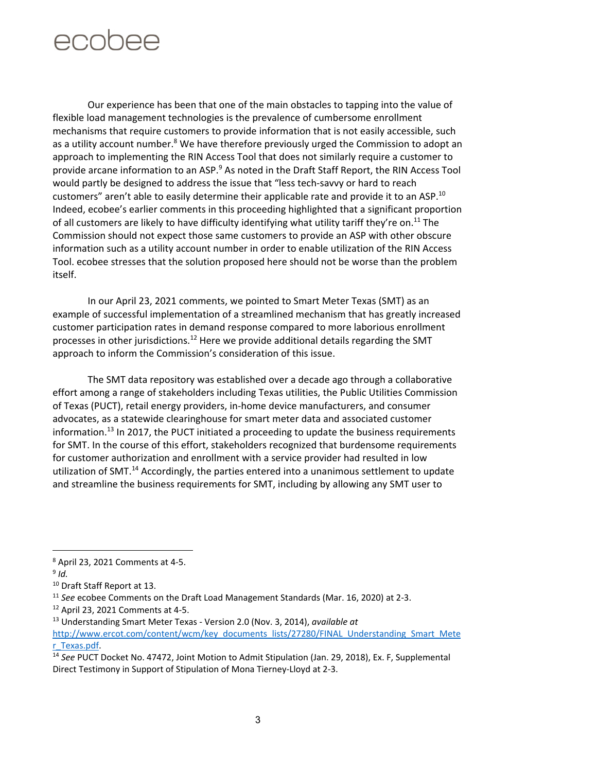# <u>ACODAA</u>

Our experience has been that one of the main obstacles to tapping into the value of flexible load management technologies is the prevalence of cumbersome enrollment mechanisms that require customers to provide information that is not easily accessible, such as a utility account number.<sup>8</sup> We have therefore previously urged the Commission to adopt an approach to implementing the RIN Access Tool that does not similarly require a customer to provide arcane information to an ASP.<sup>9</sup> As noted in the Draft Staff Report, the RIN Access Tool would partly be designed to address the issue that "less tech-savvy or hard to reach customers" aren't able to easily determine their applicable rate and provide it to an ASP.<sup>10</sup> Indeed, ecobee's earlier comments in this proceeding highlighted that a significant proportion of all customers are likely to have difficulty identifying what utility tariff they're on.<sup>11</sup> The Commission should not expect those same customers to provide an ASP with other obscure information such as a utility account number in order to enable utilization of the RIN Access Tool. ecobee stresses that the solution proposed here should not be worse than the problem itself.

In our April 23, 2021 comments, we pointed to Smart Meter Texas (SMT) as an example of successful implementation of a streamlined mechanism that has greatly increased customer participation rates in demand response compared to more laborious enrollment processes in other jurisdictions.<sup>12</sup> Here we provide additional details regarding the SMT approach to inform the Commission's consideration of this issue.

The SMT data repository was established over a decade ago through a collaborative effort among a range of stakeholders including Texas utilities, the Public Utilities Commission of Texas (PUCT), retail energy providers, in-home device manufacturers, and consumer advocates, as a statewide clearinghouse for smart meter data and associated customer information.<sup>13</sup> In 2017, the PUCT initiated a proceeding to update the business requirements for SMT. In the course of this effort, stakeholders recognized that burdensome requirements for customer authorization and enrollment with a service provider had resulted in low utilization of SMT.<sup>14</sup> Accordingly, the parties entered into a unanimous settlement to update and streamline the business requirements for SMT, including by allowing any SMT user to

<sup>8</sup> April 23, 2021 Comments at 4-5.

<sup>9</sup> *Id.* 

<sup>10</sup> Draft Staff Report at 13.

<sup>&</sup>lt;sup>11</sup> *See* ecobee Comments on the Draft Load Management Standards (Mar. 16, 2020) at 2-3.<br><sup>12</sup> April 23, 2021 Comments at 4-5.

<sup>13</sup> Understanding Smart Meter Texas - Version 2.0 (Nov. 3, 2014), *available at*  http://www.ercot.com/content/wcm/key\_documents\_lists/27280/FINAL\_Understanding\_Smart\_Mete r\_Texas.pdf. 14 *See* PUCT Docket No. 47472, Joint Motion to Admit Stipulation (Jan. 29, 2018), Ex. F, Supplemental

Direct Testimony in Support of Stipulation of Mona Tierney-Lloyd at 2-3.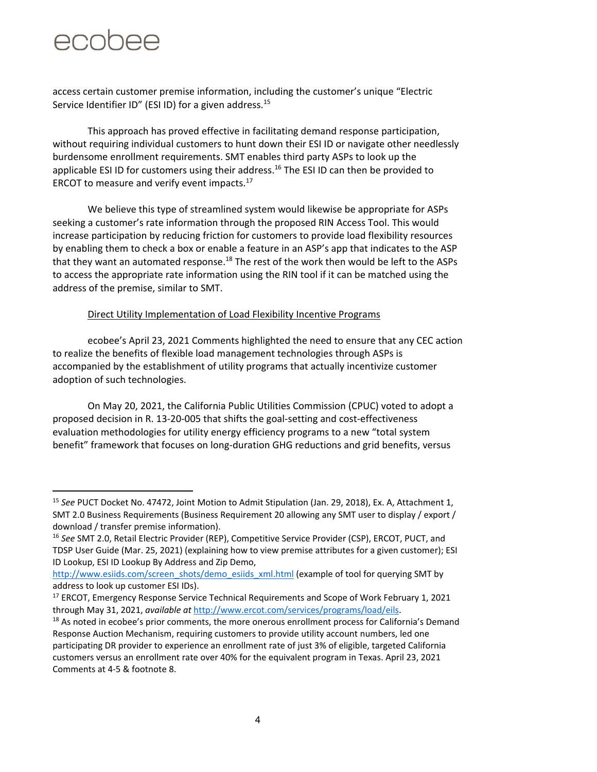$\overline{a}$ 

access certain customer premise information, including the customer's unique "Electric Service Identifier ID" (ESI ID) for a given address.<sup>15</sup>

This approach has proved effective in facilitating demand response participation, without requiring individual customers to hunt down their ESI ID or navigate other needlessly burdensome enrollment requirements. SMT enables third party ASPs to look up the applicable ESI ID for customers using their address.<sup>16</sup> The ESI ID can then be provided to ERCOT to measure and verify event impacts.<sup>17</sup>

We believe this type of streamlined system would likewise be appropriate for ASPs seeking a customer's rate information through the proposed RIN Access Tool. This would increase participation by reducing friction for customers to provide load flexibility resources by enabling them to check a box or enable a feature in an ASP's app that indicates to the ASP that they want an automated response.<sup>18</sup> The rest of the work then would be left to the ASPs to access the appropriate rate information using the RIN tool if it can be matched using the address of the premise, similar to SMT.

#### Direct Utility Implementation of Load Flexibility Incentive Programs

ecobee's April 23, 2021 Comments highlighted the need to ensure that any CEC action to realize the benefits of flexible load management technologies through ASPs is accompanied by the establishment of utility programs that actually incentivize customer adoption of such technologies.

On May 20, 2021, the California Public Utilities Commission (CPUC) voted to adopt a proposed decision in R. 13-20-005 that shifts the goal-setting and cost-effectiveness evaluation methodologies for utility energy efficiency programs to a new "total system benefit" framework that focuses on long-duration GHG reductions and grid benefits, versus

<sup>15</sup> *See* PUCT Docket No. 47472, Joint Motion to Admit Stipulation (Jan. 29, 2018), Ex. A, Attachment 1, SMT 2.0 Business Requirements (Business Requirement 20 allowing any SMT user to display / export / download / transfer premise information).

<sup>16</sup> *See* SMT 2.0, Retail Electric Provider (REP), Competitive Service Provider (CSP), ERCOT, PUCT, and TDSP User Guide (Mar. 25, 2021) (explaining how to view premise attributes for a given customer); ESI ID Lookup, ESI ID Lookup By Address and Zip Demo,

http://www.esiids.com/screen\_shots/demo\_esiids\_xml.html (example of tool for querying SMT by address to look up customer ESI IDs).

<sup>&</sup>lt;sup>17</sup> ERCOT, Emergency Response Service Technical Requirements and Scope of Work February 1, 2021 through May 31, 2021, *available at* http://www.ercot.com/services/programs/load/eils.<br><sup>18</sup> As noted in ecobee's prior comments, the more onerous enrollment process for California's Demand

Response Auction Mechanism, requiring customers to provide utility account numbers, led one participating DR provider to experience an enrollment rate of just 3% of eligible, targeted California customers versus an enrollment rate over 40% for the equivalent program in Texas. April 23, 2021 Comments at 4-5 & footnote 8.